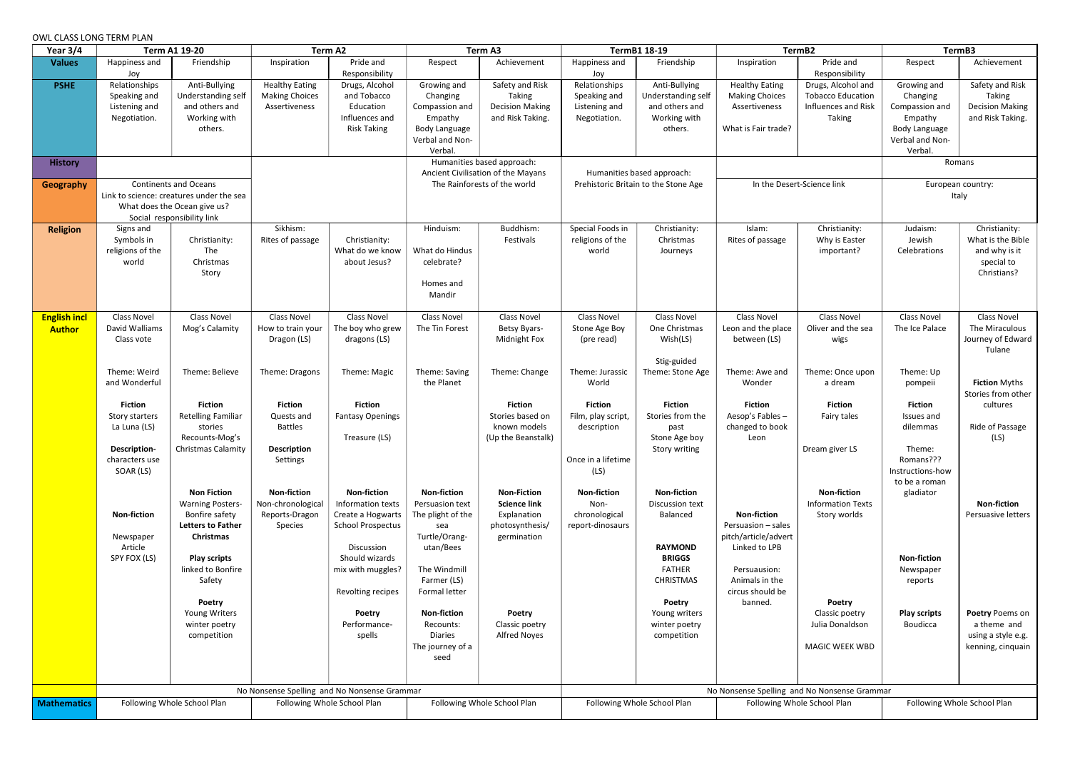## OWL CLASS LONG TERM PLAN

| Year $3/4$                           | <b>Term A1 19-20</b>                                                                                                                   |                                                                                                                                                      | Term A2                                                                          |                                                                                                                                               | Term A3                                                                                                         |                                                                                            | TermB1 18-19                                                                      |                                                                                                       | TermB2                                                                                            |                                                                                 | TermB3                                                                                                     |                                                                                  |
|--------------------------------------|----------------------------------------------------------------------------------------------------------------------------------------|------------------------------------------------------------------------------------------------------------------------------------------------------|----------------------------------------------------------------------------------|-----------------------------------------------------------------------------------------------------------------------------------------------|-----------------------------------------------------------------------------------------------------------------|--------------------------------------------------------------------------------------------|-----------------------------------------------------------------------------------|-------------------------------------------------------------------------------------------------------|---------------------------------------------------------------------------------------------------|---------------------------------------------------------------------------------|------------------------------------------------------------------------------------------------------------|----------------------------------------------------------------------------------|
| <b>Values</b>                        | Happiness and<br>Joy                                                                                                                   | Friendship                                                                                                                                           | Inspiration                                                                      | Pride and<br>Responsibility                                                                                                                   | Respect                                                                                                         | Achievement                                                                                | Happiness and<br>Joy                                                              | Friendship                                                                                            | Inspiration                                                                                       | Pride and<br>Responsibility                                                     | Respect                                                                                                    | Achievement                                                                      |
| <b>PSHE</b>                          | Relationships<br>Speaking and<br>Listening and<br>Negotiation.                                                                         | Anti-Bullying<br>Understanding self<br>and others and<br>Working with<br>others.                                                                     | <b>Healthy Eating</b><br><b>Making Choices</b><br>Assertiveness                  | Drugs, Alcohol<br>and Tobacco<br>Education<br>Influences and<br><b>Risk Taking</b>                                                            | Growing and<br>Changing<br>Compassion and<br>Empathy<br><b>Body Language</b><br>Verbal and Non-<br>Verbal.      | Safety and Risk<br>Taking<br><b>Decision Making</b><br>and Risk Taking.                    | Relationships<br>Speaking and<br>Listening and<br>Negotiation.                    | Anti-Bullying<br>Understanding self<br>and others and<br>Working with<br>others.                      | <b>Healthy Eating</b><br><b>Making Choices</b><br>Assertiveness<br>What is Fair trade?            | Drugs, Alcohol and<br><b>Tobacco Education</b><br>Influences and Risk<br>Taking | Growing and<br>Changing<br>Compassion and<br>Empathy<br><b>Body Language</b><br>Verbal and Non-<br>Verbal. | Safety and Risk<br>Taking<br><b>Decision Making</b><br>and Risk Taking.          |
| <b>History</b>                       |                                                                                                                                        |                                                                                                                                                      |                                                                                  |                                                                                                                                               | Humanities based approach:<br>Ancient Civilisation of the Mayans<br>The Rainforests of the world                |                                                                                            | Humanities based approach:<br>Prehistoric Britain to the Stone Age                |                                                                                                       |                                                                                                   |                                                                                 | Romans                                                                                                     |                                                                                  |
| <b>Geography</b>                     | <b>Continents and Oceans</b><br>Link to science: creatures under the sea<br>What does the Ocean give us?<br>Social responsibility link |                                                                                                                                                      |                                                                                  |                                                                                                                                               |                                                                                                                 |                                                                                            |                                                                                   |                                                                                                       | In the Desert-Science link                                                                        |                                                                                 | European country:<br>Italy                                                                                 |                                                                                  |
| <b>Religion</b>                      | Signs and<br>Symbols in<br>religions of the<br>world                                                                                   | Christianity:<br>The<br>Christmas<br>Story                                                                                                           | Sikhism:<br>Rites of passage                                                     | Christianity:<br>What do we know<br>about Jesus?                                                                                              | Hinduism:<br>What do Hindus<br>celebrate?<br>Homes and<br>Mandir                                                | Buddhism:<br>Festivals                                                                     | Special Foods in<br>religions of the<br>world                                     | Christianity:<br>Christmas<br>Journeys                                                                | Islam:<br>Rites of passage                                                                        | Christianity:<br>Why is Easter<br>important?                                    | Judaism:<br>Jewish<br>Celebrations                                                                         | Christianity:<br>What is the Bible<br>and why is it<br>special to<br>Christians? |
| <b>English incl</b><br><b>Author</b> | <b>Class Novel</b><br>David Walliams<br>Class vote                                                                                     | <b>Class Novel</b><br>Mog's Calamity                                                                                                                 | <b>Class Novel</b><br>How to train your<br>Dragon (LS)                           | Class Novel<br>The boy who grew<br>dragons (LS)                                                                                               | <b>Class Novel</b><br>The Tin Forest                                                                            | Class Novel<br><b>Betsy Byars-</b><br>Midnight Fox                                         | Class Novel<br>Stone Age Boy<br>(pre read)                                        | <b>Class Novel</b><br>One Christmas<br>Wish(LS)                                                       | Class Novel<br>Leon and the place<br>between (LS)                                                 | <b>Class Novel</b><br>Oliver and the sea<br>wigs                                | Class Novel<br>The Ice Palace                                                                              | Class Novel<br>The Miraculous<br>Journey of Edward<br>Tulane                     |
|                                      | Theme: Weird<br>and Wonderful                                                                                                          | Theme: Believe                                                                                                                                       | Theme: Dragons                                                                   | Theme: Magic                                                                                                                                  | Theme: Saving<br>the Planet                                                                                     | Theme: Change                                                                              | Theme: Jurassic<br>World                                                          | Stig-guided<br>Theme: Stone Age                                                                       | Theme: Awe and<br>Wonder                                                                          | Theme: Once upon<br>a dream                                                     | Theme: Up<br>pompeii                                                                                       | <b>Fiction Myths</b><br>Stories from other                                       |
|                                      | <b>Fiction</b><br>Story starters<br>La Luna (LS)<br><b>Description-</b><br>characters use<br>SOAR (LS)                                 | <b>Fiction</b><br><b>Retelling Familiar</b><br>stories<br>Recounts-Mog's<br><b>Christmas Calamity</b>                                                | <b>Fiction</b><br>Quests and<br><b>Battles</b><br><b>Description</b><br>Settings | <b>Fiction</b><br><b>Fantasy Openings</b><br>Treasure (LS)                                                                                    |                                                                                                                 | <b>Fiction</b><br>Stories based on<br>known models<br>(Up the Beanstalk)                   | <b>Fiction</b><br>Film, play script,<br>description<br>Once in a lifetime<br>(LS) | <b>Fiction</b><br>Stories from the<br>past<br>Stone Age boy<br>Story writing                          | <b>Fiction</b><br>Aesop's Fables-<br>changed to book<br>Leon                                      | <b>Fiction</b><br>Fairy tales<br>Dream giver LS                                 | <b>Fiction</b><br>Issues and<br>dilemmas<br>Theme:<br>Romans???<br>Instructions-how<br>to be a roman       | cultures<br>Ride of Passage<br>(LS)                                              |
|                                      | <b>Non-fiction</b><br>Newspaper<br>Article<br>SPY FOX (LS)                                                                             | <b>Non Fiction</b><br><b>Warning Posters-</b><br>Bonfire safety<br><b>Letters to Father</b><br>Christmas<br><b>Play scripts</b><br>linked to Bonfire | <b>Non-fiction</b><br>Non-chronological<br>Reports-Dragon<br>Species             | <b>Non-fiction</b><br>Information texts<br>Create a Hogwarts<br><b>School Prospectus</b><br>Discussion<br>Should wizards<br>mix with muggles? | <b>Non-fiction</b><br>Persuasion text<br>The plight of the<br>sea<br>Turtle/Orang-<br>utan/Bees<br>The Windmill | <b>Non-Fiction</b><br><b>Science link</b><br>Explanation<br>photosynthesis/<br>germination | <b>Non-fiction</b><br>Non-<br>chronological<br>report-dinosaurs                   | <b>Non-fiction</b><br>Discussion text<br>Balanced<br><b>RAYMOND</b><br><b>BRIGGS</b><br><b>FATHER</b> | <b>Non-fiction</b><br>Persuasion - sales<br>pitch/article/advert<br>Linked to LPB<br>Persuausion: | <b>Non-fiction</b><br><b>Information Texts</b><br>Story worlds                  | gladiator<br><b>Non-fiction</b><br>Newspaper                                                               | <b>Non-fiction</b><br>Persuasive letters                                         |
|                                      |                                                                                                                                        | Safety<br>Poetry<br>Young Writers<br>winter poetry<br>competition                                                                                    |                                                                                  | Revolting recipes<br>Poetry<br>Performance-<br>spells                                                                                         | Farmer (LS)<br>Formal letter<br><b>Non-fiction</b><br>Recounts:<br><b>Diaries</b><br>The journey of a<br>seed   | Poetry<br>Classic poetry<br><b>Alfred Noyes</b>                                            |                                                                                   | <b>CHRISTMAS</b><br><b>Poetry</b><br>Young writers<br>winter poetry<br>competition                    | Animals in the<br>circus should be<br>banned.                                                     | Poetry<br>Classic poetry<br>Julia Donaldson<br>MAGIC WEEK WBD                   | reports<br><b>Play scripts</b><br>Boudicca                                                                 | Poetry Poems on<br>a theme and<br>using a style e.g.<br>kenning, cinquain        |
|                                      | No Nonsense Spelling and No Nonsense Grammar                                                                                           |                                                                                                                                                      |                                                                                  |                                                                                                                                               |                                                                                                                 | No Nonsense Spelling and No Nonsense Grammar                                               |                                                                                   |                                                                                                       |                                                                                                   |                                                                                 |                                                                                                            |                                                                                  |
| <b>Mathematics</b>                   |                                                                                                                                        | Following Whole School Plan                                                                                                                          | Following Whole School Plan<br>Following Whole School Plan                       |                                                                                                                                               |                                                                                                                 | Following Whole School Plan                                                                |                                                                                   | Following Whole School Plan                                                                           |                                                                                                   | Following Whole School Plan                                                     |                                                                                                            |                                                                                  |